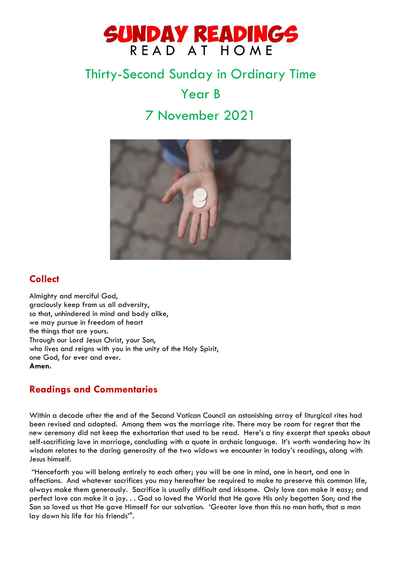

# Thirty-Second Sunday in Ordinary Time Year B 7 November 2021



# **Collect**

Almighty and merciful God, graciously keep from us all adversity, so that, unhindered in mind and body alike, we may pursue in freedom of heart the things that are yours. Through our Lord Jesus Christ, your Son, who lives and reigns with you in the unity of the Holy Spirit, one God, for ever and ever. **Amen.**

# **Readings and Commentaries**

Within a decade after the end of the Second Vatican Council an astonishing array of liturgical rites had been revised and adopted. Among them was the marriage rite. There may be room for regret that the new ceremony did not keep the exhortation that used to be read. Here's a tiny excerpt that speaks about self-sacrificing love in marriage, concluding with a quote in archaic language. It's worth wondering how its wisdom relates to the daring generosity of the two widows we encounter in today's readings, along with Jesus himself.

"Henceforth you will belong entirely to each other; you will be one in mind, one in heart, and one in affections. And whatever sacrifices you may hereafter be required to make to preserve this common life, always make them generously. Sacrifice is usually difficult and irksome. Only love can make it easy; and perfect love can make it a joy. . . God so loved the World that He gave His only begotten Son; and the Son so loved us that He gave Himself for our salvation. 'Greater love than this no man hath, that a man lay down his life for his friends'".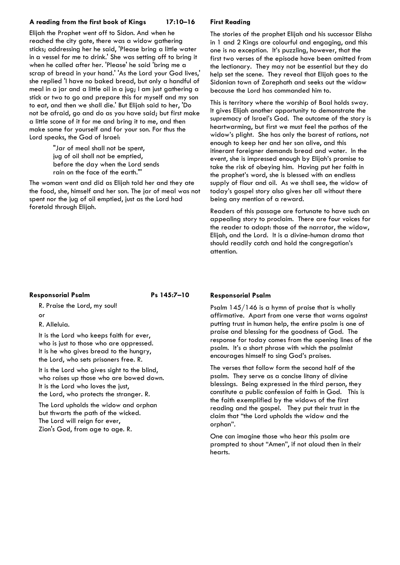### **A reading from the first book of Kings 17:10–16**

Elijah the Prophet went off to Sidon. And when he reached the city gate, there was a widow gathering sticks; addressing her he said, 'Please bring a little water in a vessel for me to drink.' She was setting off to bring it when he called after her. 'Please' he said 'bring me a scrap of bread in your hand.' 'As the Lord your God lives,' she replied 'I have no baked bread, but only a handful of meal in a jar and a little oil in a jug; I am just gathering a stick or two to go and prepare this for myself and my son to eat, and then we shall die.' But Elijah said to her, 'Do not be afraid, go and do as you have said; but first make a little scone of it for me and bring it to me, and then make some for yourself and for your son. For thus the Lord speaks, the God of Israel:

> "Jar of meal shall not be spent, jug of oil shall not be emptied, before the day when the Lord sends rain on the face of the earth."'

The woman went and did as Elijah told her and they ate the food, she, himself and her son. The jar of meal was not spent nor the jug of oil emptied, just as the Lord had foretold through Elijah.

## **First Reading**

The stories of the prophet Elijah and his successor Elisha in 1 and 2 Kings are colourful and engaging, and this one is no exception. It's puzzling, however, that the first two verses of the episode have been omitted from the lectionary. They may not be essential but they do help set the scene. They reveal that Elijah goes to the Sidonian town of Zarephath and seeks out the widow because the Lord has commanded him to.

This is territory where the worship of Baal holds sway. It gives Elijah another opportunity to demonstrate the supremacy of Israel's God. The outcome of the story is heartwarming, but first we must feel the pathos of the widow's plight. She has only the barest of rations, not enough to keep her and her son alive, and this itinerant foreigner demands bread and water. In the event, she is impressed enough by Elijah's promise to take the risk of obeying him. Having put her faith in the prophet's word, she is blessed with an endless supply of flour and oil. As we shall see, the widow of today's gospel story also gives her all without there being any mention of a reward.

Readers of this passage are fortunate to have such an appealing story to proclaim. There are four voices for the reader to adopt: those of the narrator, the widow, Elijah, and the Lord. It is a divine-human drama that should readily catch and hold the congregation's attention.

### **Responsorial Psalm Ps 145:7–10**

R. Praise the Lord, my soul!

- or
- R. Alleluia.

It is the Lord who keeps faith for ever, who is just to those who are oppressed. It is he who gives bread to the hungry, the Lord, who sets prisoners free. R.

It is the Lord who gives sight to the blind, who raises up those who are bowed down. It is the Lord who loves the just, the Lord, who protects the stranger. R.

The Lord upholds the widow and orphan but thwarts the path of the wicked. The Lord will reign for ever, Zion's God, from age to age. R.

### **Responsorial Psalm**

Psalm 145/146 is a hymn of praise that is wholly affirmative. Apart from one verse that warns against putting trust in human help, the entire psalm is one of praise and blessing for the goodness of God. The response for today comes from the opening lines of the psalm. It's a short phrase with which the psalmist encourages himself to sing God's praises.

The verses that follow form the second half of the psalm. They serve as a concise litany of divine blessings. Being expressed in the third person, they constitute a public confession of faith in God. This is the faith exemplified by the widows of the first reading and the gospel. They put their trust in the claim that "the Lord upholds the widow and the orphan".

One can imagine those who hear this psalm are prompted to shout "Amen", if not aloud then in their hearts.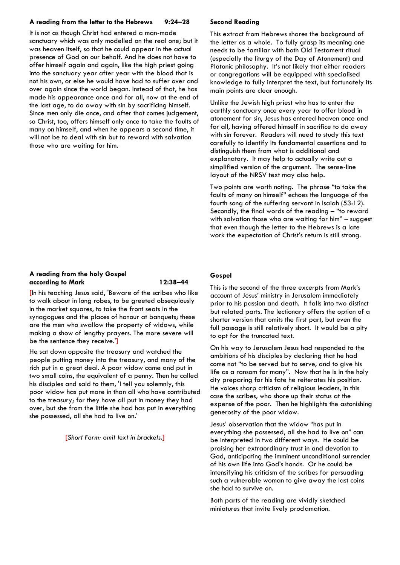#### **A reading from the letter to the Hebrews 9:24–28**

It is not as though Christ had entered a man-made sanctuary which was only modelled on the real one; but it was heaven itself, so that he could appear in the actual presence of God on our behalf. And he does not have to offer himself again and again, like the high priest going into the sanctuary year after year with the blood that is not his own, or else he would have had to suffer over and over again since the world began. Instead of that, he has made his appearance once and for all, now at the end of the last age, to do away with sin by sacrificing himself. Since men only die once, and after that comes judgement, so Christ, too, offers himself only once to take the faults of many on himself, and when he appears a second time, it will not be to deal with sin but to reward with salvation those who are waiting for him.

#### **A reading from the holy Gospel according to Mark 12:38–44**

**[**In his teaching Jesus said, 'Beware of the scribes who like to walk about in long robes, to be greeted obsequiously in the market squares, to take the front seats in the synagogues and the places of honour at banquets; these are the men who swallow the property of widows, while making a show of lengthy prayers. The more severe will be the sentence they receive.'**]**

He sat down opposite the treasury and watched the people putting money into the treasury, and many of the rich put in a great deal. A poor widow came and put in two small coins, the equivalent of a penny. Then he called his disciples and said to them, 'I tell you solemnly, this poor widow has put more in than all who have contributed to the treasury; for they have all put in money they had over, but she from the little she had has put in everything she possessed, all she had to live on.'

**[***Short Form: omit text in brackets.***]**

#### **Second Reading**

This extract from Hebrews shares the background of the letter as a whole. To fully grasp its meaning one needs to be familiar with both Old Testament ritual (especially the liturgy of the Day of Atonement) and Platonic philosophy. It's not likely that either readers or congregations will be equipped with specialised knowledge to fully interpret the text, but fortunately its main points are clear enough.

Unlike the Jewish high priest who has to enter the earthly sanctuary once every year to offer blood in atonement for sin, Jesus has entered heaven once and for all, having offered himself in sacrifice to do away with sin forever. Readers will need to study this text carefully to identify its fundamental assertions and to distinguish them from what is additional and explanatory. It may help to actually write out a simplified version of the argument. The sense-line layout of the NRSV text may also help.

Two points are worth noting. The phrase "to take the faults of many on himself" echoes the language of the fourth song of the suffering servant in Isaiah (53:12). Secondly, the final words of the reading – "to reward with salvation those who are waiting for him" – suggest that even though the letter to the Hebrews is a late work the expectation of Christ's return is still strong.

#### **Gospel**

This is the second of the three excerpts from Mark's account of Jesus' ministry in Jerusalem immediately prior to his passion and death. It falls into two distinct but related parts. The lectionary offers the option of a shorter version that omits the first part, but even the full passage is still relatively short. It would be a pity to opt for the truncated text.

On his way to Jerusalem Jesus had responded to the ambitions of his disciples by declaring that he had come not "to be served but to serve, and to give his life as a ransom for many". Now that he is in the holy city preparing for his fate he reiterates his position. He voices sharp criticism of religious leaders, in this case the scribes, who shore up their status at the expense of the poor. Then he highlights the astonishing generosity of the poor widow.

Jesus' observation that the widow "has put in everything she possessed, all she had to live on" can be interpreted in two different ways. He could be praising her extraordinary trust in and devotion to God, anticipating the imminent unconditional surrender of his own life into God's hands. Or he could be intensifying his criticism of the scribes for persuading such a vulnerable woman to give away the last coins she had to survive on.

Both parts of the reading are vividly sketched miniatures that invite lively proclamation.